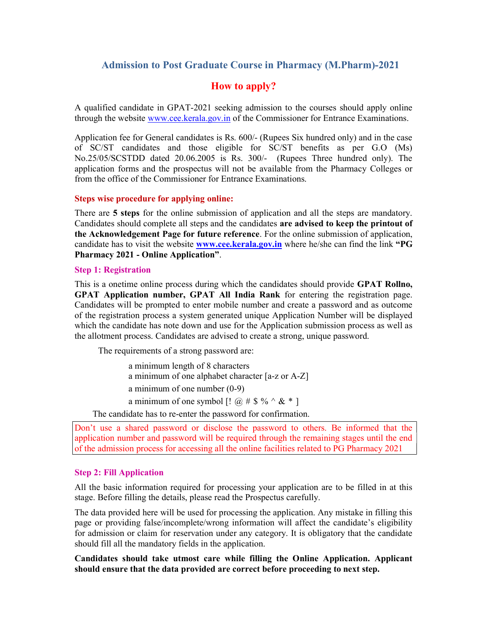## Admission to Post Graduate Course in Pharmacy (M.Pharm)-2021

## How to apply?

A qualified candidate in GPAT-2021 seeking admission to the courses should apply online through the website www.cee.kerala.gov.in of the Commissioner for Entrance Examinations.

Application fee for General candidates is Rs. 600/- (Rupees Six hundred only) and in the case of SC/ST candidates and those eligible for SC/ST benefits as per G.O (Ms) No.25/05/SCSTDD dated 20.06.2005 is Rs. 300/- (Rupees Three hundred only). The application forms and the prospectus will not be available from the Pharmacy Colleges or from the office of the Commissioner for Entrance Examinations.

## Steps wise procedure for applying online:

There are 5 steps for the online submission of application and all the steps are mandatory. Candidates should complete all steps and the candidates are advised to keep the printout of the Acknowledgement Page for future reference. For the online submission of application, candidate has to visit the website **www.cee.kerala.gov.in** where he/she can find the link "PG Pharmacy 2021 - Online Application".

#### Step 1: Registration

This is a onetime online process during which the candidates should provide GPAT Rollno, GPAT Application number, GPAT All India Rank for entering the registration page. Candidates will be prompted to enter mobile number and create a password and as outcome of the registration process a system generated unique Application Number will be displayed which the candidate has note down and use for the Application submission process as well as the allotment process. Candidates are advised to create a strong, unique password.

The requirements of a strong password are:

 a minimum length of 8 characters a minimum of one alphabet character [a-z or A-Z] a minimum of one number (0-9) a minimum of one symbol  $[$ !  $\omega \# \$  %  $\sim \& * ]$ 

The candidate has to re-enter the password for confirmation.

Don't use a shared password or disclose the password to others. Be informed that the application number and password will be required through the remaining stages until the end of the admission process for accessing all the online facilities related to PG Pharmacy 2021

## Step 2: Fill Application

All the basic information required for processing your application are to be filled in at this stage. Before filling the details, please read the Prospectus carefully.

The data provided here will be used for processing the application. Any mistake in filling this page or providing false/incomplete/wrong information will affect the candidate's eligibility for admission or claim for reservation under any category. It is obligatory that the candidate should fill all the mandatory fields in the application.

Candidates should take utmost care while filling the Online Application. Applicant should ensure that the data provided are correct before proceeding to next step.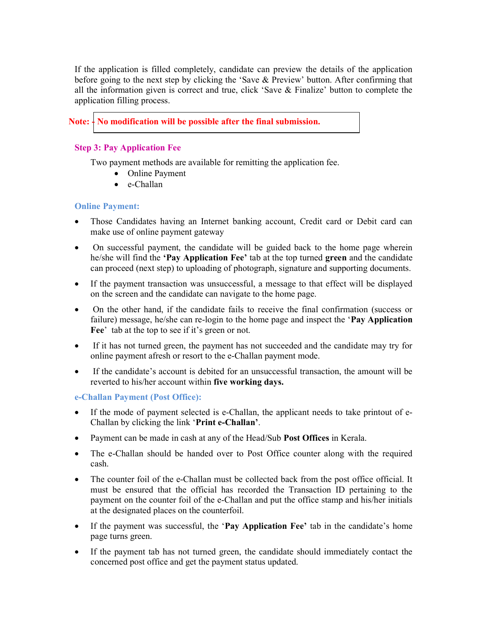If the application is filled completely, candidate can preview the details of the application before going to the next step by clicking the 'Save & Preview' button. After confirming that all the information given is correct and true, click 'Save & Finalize' button to complete the application filling process.

# Note:  $\frac{1}{2}$  No modification will be possible after the final submission.

## Step 3: Pay Application Fee

Two payment methods are available for remitting the application fee.

- Online Payment
- e-Challan

## Online Payment:

- Those Candidates having an Internet banking account, Credit card or Debit card can make use of online payment gateway
- On successful payment, the candidate will be guided back to the home page wherein he/she will find the 'Pay Application Fee' tab at the top turned green and the candidate can proceed (next step) to uploading of photograph, signature and supporting documents.
- If the payment transaction was unsuccessful, a message to that effect will be displayed on the screen and the candidate can navigate to the home page.
- On the other hand, if the candidate fails to receive the final confirmation (success or failure) message, he/she can re-login to the home page and inspect the 'Pay Application Fee' tab at the top to see if it's green or not.
- If it has not turned green, the payment has not succeeded and the candidate may try for online payment afresh or resort to the e-Challan payment mode.
- If the candidate's account is debited for an unsuccessful transaction, the amount will be reverted to his/her account within five working days.

## e-Challan Payment (Post Office):

- If the mode of payment selected is e-Challan, the applicant needs to take printout of e-Challan by clicking the link 'Print e-Challan'.
- Payment can be made in cash at any of the Head/Sub Post Offices in Kerala.
- The e-Challan should be handed over to Post Office counter along with the required cash.
- The counter foil of the e-Challan must be collected back from the post office official. It must be ensured that the official has recorded the Transaction ID pertaining to the payment on the counter foil of the e-Challan and put the office stamp and his/her initials at the designated places on the counterfoil.
- If the payment was successful, the 'Pay Application Fee' tab in the candidate's home page turns green.
- If the payment tab has not turned green, the candidate should immediately contact the concerned post office and get the payment status updated.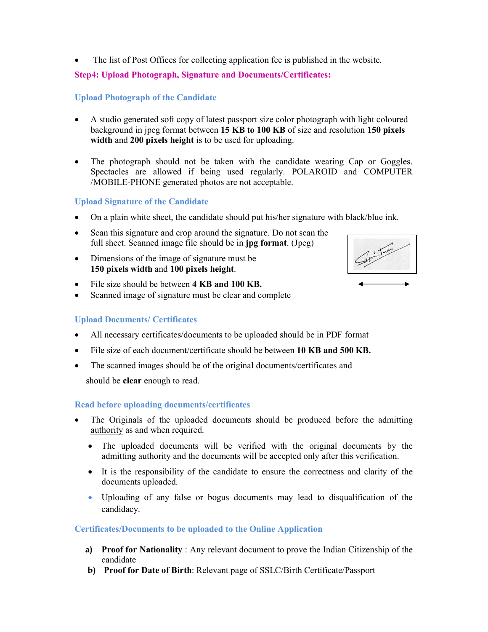The list of Post Offices for collecting application fee is published in the website.

## Step4: Upload Photograph, Signature and Documents/Certificates:

## Upload Photograph of the Candidate

- A studio generated soft copy of latest passport size color photograph with light coloured background in jpeg format between 15 KB to 100 KB of size and resolution 150 pixels width and 200 pixels height is to be used for uploading.
- The photograph should not be taken with the candidate wearing Cap or Goggles. Spectacles are allowed if being used regularly. POLAROID and COMPUTER /MOBILE-PHONE generated photos are not acceptable.

## Upload Signature of the Candidate

- On a plain white sheet, the candidate should put his/her signature with black/blue ink.
- Scan this signature and crop around the signature. Do not scan the full sheet. Scanned image file should be in jpg format. (Jpeg)
- Dimensions of the image of signature must be 150 pixels width and 100 pixels height.
- File size should be between 4 KB and 100 KB.
- Scanned image of signature must be clear and complete

## Upload Documents/ Certificates

- All necessary certificates/documents to be uploaded should be in PDF format
- File size of each document/certificate should be between 10 KB and 500 KB.
- The scanned images should be of the original documents/certificates and

should be clear enough to read.

## Read before uploading documents/certificates

- The Originals of the uploaded documents should be produced before the admitting authority as and when required.
	- The uploaded documents will be verified with the original documents by the admitting authority and the documents will be accepted only after this verification.
	- It is the responsibility of the candidate to ensure the correctness and clarity of the documents uploaded.
	- Uploading of any false or bogus documents may lead to disqualification of the candidacy.

## Certificates/Documents to be uploaded to the Online Application

- a) Proof for Nationality : Any relevant document to prove the Indian Citizenship of the candidate
- b) Proof for Date of Birth: Relevant page of SSLC/Birth Certificate/Passport